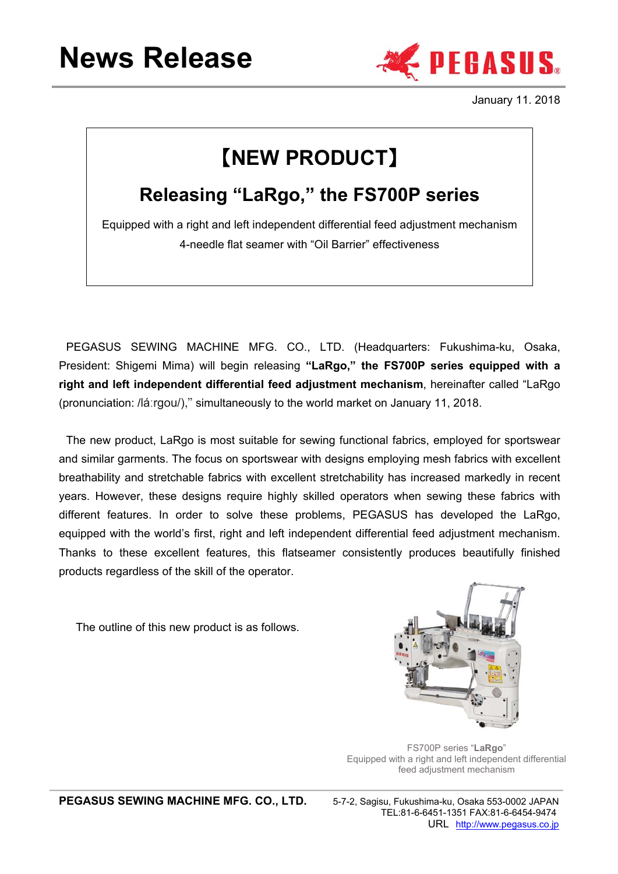# **News Release**



January 11. 2018

## 【**NEW PRODUCT**】

### **Releasing "LaRgo," the FS700P series**

Equipped with a right and left independent differential feed adjustment mechanism 4-needle flat seamer with "Oil Barrier" effectiveness

PEGASUS SEWING MACHINE MFG. CO., LTD. (Headquarters: Fukushima-ku, Osaka, President: Shigemi Mima) will begin releasing **"LaRgo," the FS700P series equipped with a right and left independent differential feed adjustment mechanism**, hereinafter called "LaRgo (pronunciation: /láːrgou/)," simultaneously to the world market on January 11, 2018.

The new product, LaRgo is most suitable for sewing functional fabrics, employed for sportswear and similar garments. The focus on sportswear with designs employing mesh fabrics with excellent breathability and stretchable fabrics with excellent stretchability has increased markedly in recent years. However, these designs require highly skilled operators when sewing these fabrics with different features. In order to solve these problems, PEGASUS has developed the LaRgo, equipped with the world's first, right and left independent differential feed adjustment mechanism. Thanks to these excellent features, this flatseamer consistently produces beautifully finished products regardless of the skill of the operator.

The outline of this new product is as follows.



FS700P series "**LaRgo**" Equipped with a right and left independent differential feed adjustment mechanism

PEGASUS SEWING MACHINE MFG. CO., LTD. 5-7-2, Sagisu, Fukushima-ku, Osaka 553-0002 JAPAN

 TEL:81-6-6451-1351 FAX:81-6-6454-9474 URL http://www.pegasus.co.jp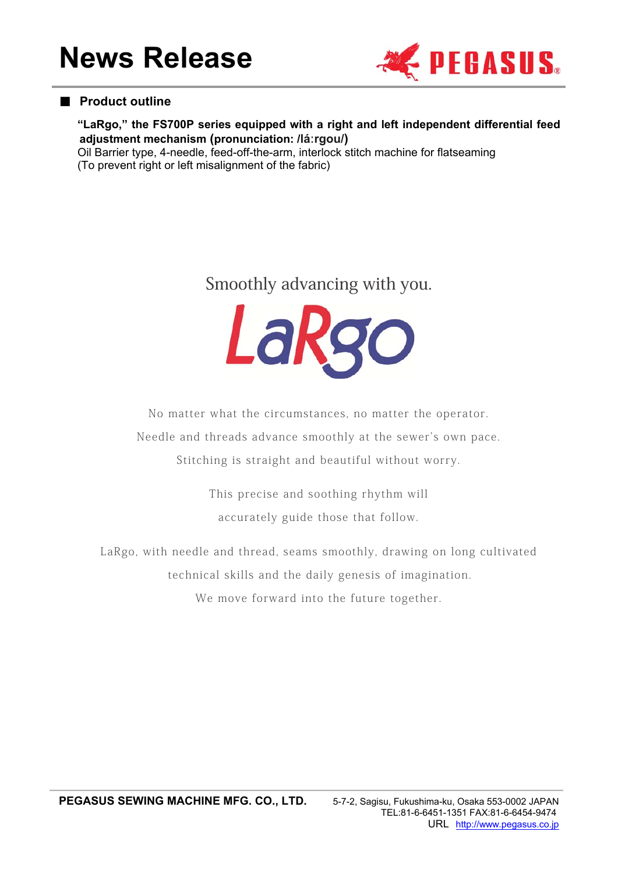

#### ■ **Product outline**

**"LaRgo," the FS700P series equipped with a right and left independent differential feed adjustment mechanism (pronunciation: /láːrgou/)**

Oil Barrier type, 4-needle, feed-off-the-arm, interlock stitch machine for flatseaming (To prevent right or left misalignment of the fabric)

### Smoothly advancing with you.



No matter what the circumstances, no matter the operator.

Needle and threads advance smoothly at the sewer's own pace.

Stitching is straight and beautiful without worry.

This precise and soothing rhythm will accurately guide those that follow.

LaRgo, with needle and thread, seams smoothly, drawing on long cultivated technical skills and the daily genesis of imagination. We move forward into the future together.

PEGASUS SEWING MACHINE MFG. CO., LTD. 5-7-2, Sagisu, Fukushima-ku, Osaka 553-0002 JAPAN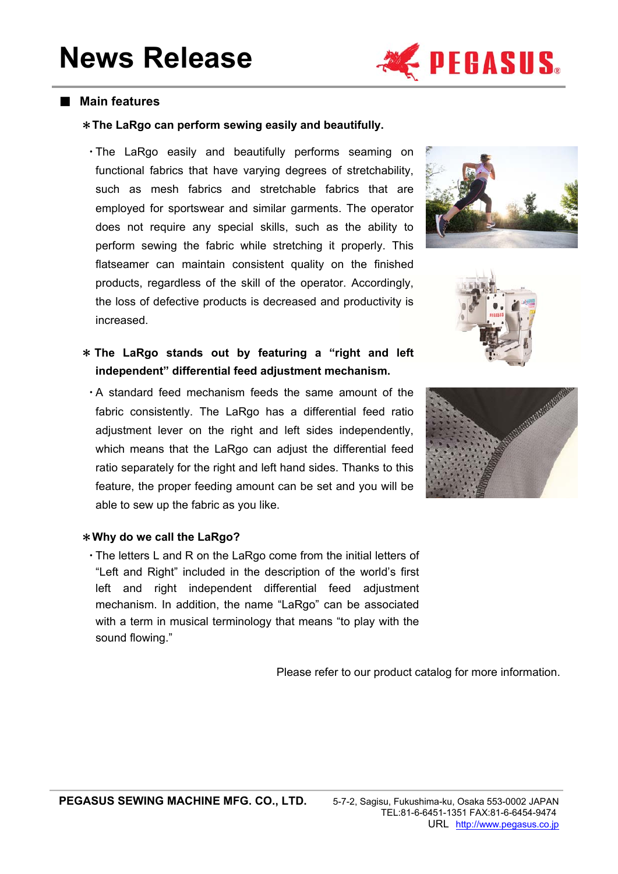

#### ■ **Main features**

#### \***The LaRgo can perform sewing easily and beautifully.**

・The LaRgo easily and beautifully performs seaming on functional fabrics that have varying degrees of stretchability, such as mesh fabrics and stretchable fabrics that are employed for sportswear and similar garments. The operator does not require any special skills, such as the ability to perform sewing the fabric while stretching it properly. This flatseamer can maintain consistent quality on the finished products, regardless of the skill of the operator. Accordingly, the loss of defective products is decreased and productivity is increased.

\* **The LaRgo stands out by featuring a "right and left independent" differential feed adjustment mechanism.** 

・A standard feed mechanism feeds the same amount of the fabric consistently. The LaRgo has a differential feed ratio adjustment lever on the right and left sides independently, which means that the LaRgo can adjust the differential feed ratio separately for the right and left hand sides. Thanks to this feature, the proper feeding amount can be set and you will be able to sew up the fabric as you like.







#### \***Why do we call the LaRgo?**

・The letters L and R on the LaRgo come from the initial letters of "Left and Right" included in the description of the world's first left and right independent differential feed adjustment mechanism. In addition, the name "LaRgo" can be associated with a term in musical terminology that means "to play with the sound flowing."

Please refer to our product catalog for more information.